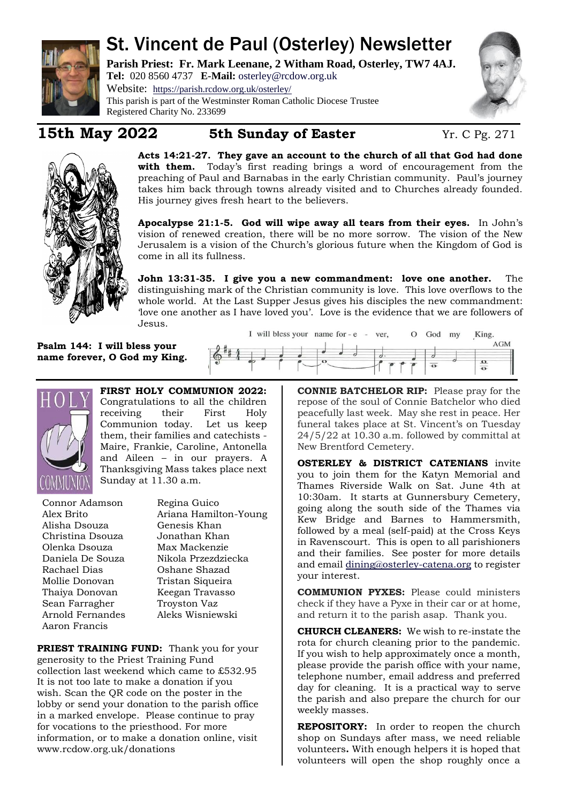

# St. Vincent de Paul (Osterley) Newsletter

**Parish Priest: Fr. Mark Leenane, 2 Witham Road, Osterley, TW7 4AJ. Tel:** 020 8560 4737 **E-Mail:** [osterley@rcdow.org.uk](mailto:osterley@rcdow.org.uk)

Website: <https://parish.rcdow.org.uk/osterley/> This parish is part of the Westminster Roman Catholic Diocese Trustee Registered Charity No. 233699

## **15th May 2022 5th Sunday of Easter** Yr. C Pg. 271



**Acts 14:21-27. They gave an account to the church of all that God had done with them.** Today's first reading brings a word of encouragement from the preaching of Paul and Barnabas in the early Christian community. Paul's journey takes him back through towns already visited and to Churches already founded. His journey gives fresh heart to the believers.

**Apocalypse 21:1-5. God will wipe away all tears from their eyes.** In John's vision of renewed creation, there will be no more sorrow. The vision of the New Jerusalem is a vision of the Church's glorious future when the Kingdom of God is come in all its fullness.

**John 13:31-35. I give you a new commandment: love one another.** The distinguishing mark of the Christian community is love. This love overflows to the whole world. At the Last Supper Jesus gives his disciples the new commandment: 'love one another as I have loved you'. Love is the evidence that we are followers of Jesus.

I will bless your name for - e - ver,

**Psalm 144: I will bless your name forever, O God my King.**



**FIRST HOLY COMMUNION 2022:**  Congratulations to all the children receiving their First Holy Communion today. Let us keep them, their families and catechists - Maire, Frankie, Caroline, Antonella and Aileen – in our prayers. A Thanksgiving Mass takes place next Sunday at 11.30 a.m.

Connor Adamson Alex Brito Alisha Dsouza Christina Dsouza Olenka Dsouza Daniela De Souza Rachael Dias Mollie Donovan Thaiya Donovan Sean Farragher Arnold Fernandes Aaron Francis

Regina Guico Ariana Hamilton-Young Genesis Khan Jonathan Khan Max Mackenzie Nikola Przezdziecka Oshane Shazad Tristan Siqueira Keegan Travasso Troyston Vaz Aleks Wisniewski

**PRIEST TRAINING FUND:** Thank you for your generosity to the Priest Training Fund collection last weekend which came to £532.95 It is not too late to make a donation if you wish. Scan the QR code on the poster in the lobby or send your donation to the parish office in a marked envelope. Please continue to pray for vocations to the priesthood. For more information, or to make a donation online, visit www.rcdow.org.uk/donations

**CONNIE BATCHELOR RIP:** Please pray for the repose of the soul of Connie Batchelor who died peacefully last week. May she rest in peace. Her funeral takes place at St. Vincent's on Tuesday 24/5/22 at 10.30 a.m. followed by committal at New Brentford Cemetery.

O God my

**OSTERLEY & DISTRICT CATENIANS** invite you to join them for the Katyn Memorial and Thames Riverside Walk on Sat. June 4th at 10:30am. It starts at Gunnersbury Cemetery, going along the south side of the Thames via Kew Bridge and Barnes to Hammersmith, followed by a meal (self-paid) at the Cross Keys in Ravenscourt. This is open to all parishioners and their families. See poster for more details and email [dining@osterley-catena.org](mailto:dining@osterley-catena.org) to register your interest.

**COMMUNION PYXES:** Please could ministers check if they have a Pyxe in their car or at home, and return it to the parish asap. Thank you.

**CHURCH CLEANERS:** We wish to re-instate the rota for church cleaning prior to the pandemic. If you wish to help approximately once a month, please provide the parish office with your name, telephone number, email address and preferred day for cleaning. It is a practical way to serve the parish and also prepare the church for our weekly masses.

**REPOSITORY:** In order to reopen the church shop on Sundays after mass, we need reliable volunteers**.** With enough helpers it is hoped that volunteers will open the shop roughly once a

King.

 $\overline{\bullet}$ 

 $AGM$